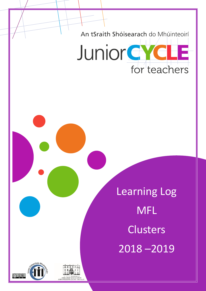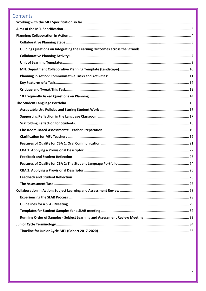# Contents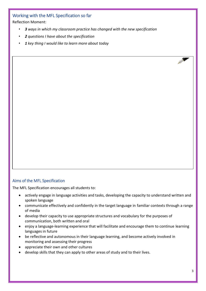### <span id="page-2-0"></span>Working with the MFL Specification so far

Reflection Moment:

- *3 ways in which my classroom practice has changed with the new specification*
- *2 questions I have about the specification*
- *1 key thing I would like to learn more about today*

### <span id="page-2-1"></span>Aims of the MFL Specification

The MFL Specification encourages all students to:

- actively engage in language activities and tasks, developing the capacity to understand written and spoken language
- communicate effectively and confidently in the target language in familiar contexts through a range of media
- develop their capacity to use appropriate structures and vocabulary for the purposes of communication, both written and oral
- enjoy a language-learning experience that will facilitate and encourage them to continue learning languages in future
- be reflective and autonomous in their language learning, and become actively involved in monitoring and assessing their progress
- appreciate their own and other cultures
- develop skills that they can apply to other areas of study and to their lives.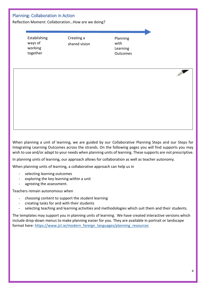### <span id="page-3-0"></span>Planning: Collaboration in Action

Reflection Moment: Collaboration…How are we doing?

Establishing ways of working together

Creating a shared vision

Planning with Learning **Outcomes** 

When planning a unit of learning, we are guided by our Collaborative Planning Steps and our Steps for Integrating Learning Outcomes across the strands. On the following pages you will find supports you may wish to use and/or adapt to your needs when planning units of learning. These supports are not prescriptive.

In planning units of learning, our approach allows for collaboration as well as teacher autonomy.

When planning units of learning, a collaborative approach can help us in

- selecting learning outcomes
- exploring the key learning within a unit
- agreeing the assessment.

Teachers remain autonomous when

- choosing content to support the student learning
- creating tasks for and with their students
- selecting teaching and learning activities and methodologies which suit them and their students.

The templates may support you in planning units of learning. We have created interactive versions which include drop-down menus to make planning easier for you. They are available in portrait or landscape format here: [https://www.jct.ie/modern\\_foreign\\_languages/planning\\_resources](https://www.jct.ie/modern_foreign_languages/planning_resources)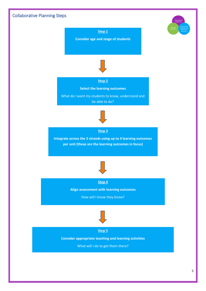<span id="page-4-0"></span>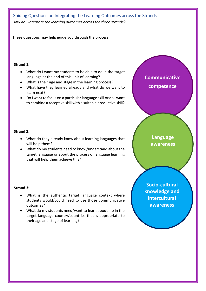## <span id="page-5-0"></span>Guiding Questions on Integrating the Learning Outcomes across the Strands *How do I integrate the learning outcomes across the three strands?*

These questions may help guide you through the process:

#### **Strand 1:**

- What do I want my students to be able to do in the target language at the end of this unit of learning?
- What is their age and stage in the learning process?
- What have they learned already and what do we want to learn next?
- Do I want to focus on a particular language skill or do I want to combine a receptive skill with a suitable productive skill?



### **Strand 2:**

- What do they already know about learning languages that will help them?
- What do my students need to know/understand about the target language or about the process of language learning that will help them achieve this?

### **Strand 3:**

- What is the authentic target language context where students would/could need to use those communicative outcomes?
- What do my students need/want to learn about life in the target language country/countries that is appropriate to their age and stage of learning?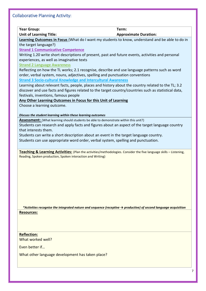<span id="page-6-0"></span>Collaborative Planning Activity:

**Year Group: Term:** 

**Unit of Learning Title:** Approximate Duration:

**Learning Outcomes in Focus** (What do I want my students to know, understand and be able to do in the target language?)

**Strand 1 Communicative Competence**

Writing 1.20 write short descriptions of present, past and future events, activities and personal experiences, as well as imaginative texts

**Strand 2 Language Awareness**

Reflecting on how the TL works; 2.1 recognise, describe and use language patterns such as word order, verbal system, nouns, adjectives, spelling and punctuation conventions **Strand 3 Socio-cultural Knowledge and Intercultural Awareness**

Learning about relevant facts, people, places and history about the country related to the TL; 3.2 discover and use facts and figures related to the target country/countries such as statistical data, festivals, inventions, famous people

### **Any Other Learning Outcomes in Focus for this Unit of Learning**

Choose a learning outcome.

*Discuss the student learning within these learning outcomes*

Assessment: (What learning should students be able to demonstrate within this unit?)

Students can research and apply facts and figures about an aspect of the target language country that interests them.

Students can write a short description about an event in the target language country.

Students can use appropriate word order, verbal system, spelling and punctuation.

**Teaching & Learning Activities:** (Plan the activities/methodologies. Consider the five language skills – Listening, Reading, Spoken production, Spoken interaction and Writing)

*\*Activities recognise the integrated nature and sequence (receptive → productive) of second language acquisition* **Resources:**

**Reflection:** What worked well?

Even better if…

What other language development has taken place?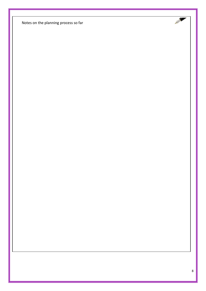Notes on the planning process so far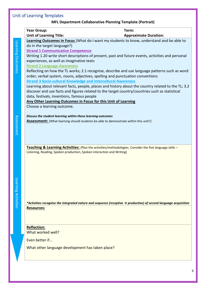# <span id="page-8-0"></span>Unit of Learning Templates

### **MFL Department Collaborative Planning Template (Portrait)**

|                    | <b>Year Group:</b><br>Term:                                                                                                                                                       |
|--------------------|-----------------------------------------------------------------------------------------------------------------------------------------------------------------------------------|
|                    | <b>Unit of Learning Title:</b><br><b>Approximate Duration:</b>                                                                                                                    |
|                    | Learning Outcomes in Focus (What do I want my students to know, understand and be able to                                                                                         |
|                    | do in the target language?)<br><b>Strand 1 Communicative Competence</b>                                                                                                           |
| Learning Outcomes  | Writing 1.20 write short descriptions of present, past and future events, activities and personal                                                                                 |
|                    | experiences, as well as imaginative texts                                                                                                                                         |
|                    | <b>Strand 2 Language Awareness</b>                                                                                                                                                |
|                    | Reflecting on how the TL works; 2.1 recognise, describe and use language patterns such as word                                                                                    |
|                    | order, verbal system, nouns, adjectives, spelling and punctuation conventions                                                                                                     |
|                    | <b>Strand 3 Socio-cultural Knowledge and Intercultural Awareness</b>                                                                                                              |
|                    | Learning about relevant facts, people, places and history about the country related to the TL; 3.2                                                                                |
|                    | discover and use facts and figures related to the target country/countries such as statistical                                                                                    |
|                    | data, festivals, inventions, famous people                                                                                                                                        |
|                    | Any Other Learning Outcomes in Focus for this Unit of Learning                                                                                                                    |
|                    | Choose a learning outcome.                                                                                                                                                        |
|                    |                                                                                                                                                                                   |
|                    | Discuss the student learning within these learning outcomes                                                                                                                       |
| Assessment         | <b>Assessment:</b> (What learning should students be able to demonstrate within this unit?)                                                                                       |
|                    |                                                                                                                                                                                   |
|                    |                                                                                                                                                                                   |
|                    |                                                                                                                                                                                   |
|                    |                                                                                                                                                                                   |
|                    | Teaching & Learning Activities: (Plan the activities/methodologies. Consider the five language skills -<br>Listening, Reading, Spoken production, Spoken interaction and Writing) |
|                    |                                                                                                                                                                                   |
|                    |                                                                                                                                                                                   |
|                    |                                                                                                                                                                                   |
|                    |                                                                                                                                                                                   |
|                    |                                                                                                                                                                                   |
|                    |                                                                                                                                                                                   |
| earning Activities |                                                                                                                                                                                   |
|                    |                                                                                                                                                                                   |
|                    |                                                                                                                                                                                   |
|                    | *Activities recognise the integrated nature and sequence (receptive $\rightarrow$ productive) of second language acquisition                                                      |
|                    | <b>Resources:</b>                                                                                                                                                                 |
|                    |                                                                                                                                                                                   |
|                    |                                                                                                                                                                                   |
|                    |                                                                                                                                                                                   |
|                    | <b>Reflection:</b><br>What worked well?                                                                                                                                           |
|                    |                                                                                                                                                                                   |
|                    | Even better if                                                                                                                                                                    |
|                    | What other language development has taken place?                                                                                                                                  |
|                    |                                                                                                                                                                                   |

9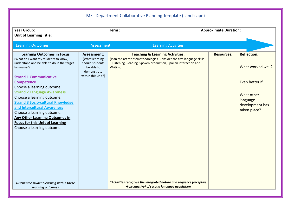# MFL Department Collaborative Planning Template (Landscape)

<span id="page-9-0"></span>

| <b>Year Group:</b><br><b>Unit of Learning Title:</b>                                                                                                                                                                                                                                                                                                                                                                                                                                                                    |                                                                                                     | Term:                                                                                                                                                                                              | <b>Approximate Duration:</b> |                                                                                                                        |
|-------------------------------------------------------------------------------------------------------------------------------------------------------------------------------------------------------------------------------------------------------------------------------------------------------------------------------------------------------------------------------------------------------------------------------------------------------------------------------------------------------------------------|-----------------------------------------------------------------------------------------------------|----------------------------------------------------------------------------------------------------------------------------------------------------------------------------------------------------|------------------------------|------------------------------------------------------------------------------------------------------------------------|
| <b>Learning Outcomes</b>                                                                                                                                                                                                                                                                                                                                                                                                                                                                                                | Assessment                                                                                          | <b>Learning Activities</b>                                                                                                                                                                         |                              |                                                                                                                        |
| <b>Learning Outcomes in Focus</b><br>(What do I want my students to know,<br>understand and be able to do in the target<br>language?)<br><b>Strand 1 Communicative</b><br><b>Competence</b><br>Choose a learning outcome.<br><b>Strand 2 Language Awareness</b><br>Choose a learning outcome.<br><b>Strand 3 Socio-cultural Knowledge</b><br>and Intercultural Awareness<br>Choose a learning outcome.<br><b>Any Other Learning Outcomes in</b><br><b>Focus for this Unit of Learning</b><br>Choose a learning outcome. | Assessment:<br>(What learning<br>should students<br>be able to<br>demonstrate<br>within this unit?) | <b>Teaching &amp; Learning Activities:</b><br>(Plan the activities/methodologies. Consider the five language skills<br>- Listening, Reading, Spoken production, Spoken interaction and<br>Writing) | <b>Resources:</b>            | <b>Reflection:</b><br>What worked well?<br>Even better if<br>What other<br>language<br>development has<br>taken place? |
| Discuss the student learning within these<br>learning outcomes                                                                                                                                                                                                                                                                                                                                                                                                                                                          |                                                                                                     | *Activities recognise the integrated nature and sequence (receptive<br>$\rightarrow$ productive) of second language acquisition                                                                    |                              |                                                                                                                        |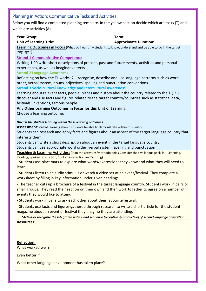### <span id="page-10-0"></span>Planning in Action: Communicative Tasks and Activities:

Below you will find a completed planning template. In the yellow section decide which are tasks (T) and which are activities (A).

| <b>Year Group:</b><br>Term:                                                                                                  |                              |
|------------------------------------------------------------------------------------------------------------------------------|------------------------------|
| <b>Unit of Learning Title:</b>                                                                                               | <b>Approximate Duration:</b> |
| Learning Outcomes in Focus (What do I want my students to know, understand and be able to do in the target                   |                              |
| language?)                                                                                                                   |                              |
| <b>Strand 1 Communicative Competence</b>                                                                                     |                              |
| Writing 1.20 write short descriptions of present, past and future events, activities and personal                            |                              |
| experiences, as well as imaginative texts                                                                                    |                              |
| <b>Strand 2 Language Awareness</b>                                                                                           |                              |
| Reflecting on how the TL works; 2.1 recognise, describe and use language patterns such as word                               |                              |
| order, verbal system, nouns, adjectives, spelling and punctuation conventions                                                |                              |
| <b>Strand 3 Socio-cultural Knowledge and Intercultural Awareness</b>                                                         |                              |
| Learning about relevant facts, people, places and history about the country related to the TL; 3.2                           |                              |
| discover and use facts and figures related to the target country/countries such as statistical data,                         |                              |
| festivals, inventions, famous people                                                                                         |                              |
| Any Other Learning Outcomes in Focus for this Unit of Learning                                                               |                              |
| Choose a learning outcome.                                                                                                   |                              |
| Discuss the student learning within these learning outcomes                                                                  |                              |
| Assessment: (What learning should students be able to demonstrate within this unit?)                                         |                              |
| Students can research and apply facts and figures about an aspect of the target language country that                        |                              |
| interests them.                                                                                                              |                              |
| Students can write a short description about an event in the target language country.                                        |                              |
| Students can use appropriate word order, verbal system, spelling and punctuation.                                            |                              |
| Teaching & Learning Activities: (Plan the activities/methodologies Consider the five language skills - Listening,            |                              |
| Reading, Spoken production, Spoken interaction and Writing)                                                                  |                              |
| - Students use placemats to explore what words/expressions they know and what they will need to                              |                              |
| learn.                                                                                                                       |                              |
| - Students listen to an audio stimulus or watch a video set at an event/festival. They complete a                            |                              |
| worksheet by filling in key information under given headings.                                                                |                              |
| - The teacher cuts up a brochure of a festival in the target language country. Students work in pairs or                     |                              |
| small groups. They read their section on their own and then work together to agree on a number of                            |                              |
| events they would like to attend.                                                                                            |                              |
| - Students work in pairs to ask each other about their favourite festival.                                                   |                              |
| - Students use facts and figures gathered through research to write a short article for the student                          |                              |
| magazine about an event or festival they imagine they are attending.                                                         |                              |
| *Activities recognise the integrated nature and sequence (receptive $\rightarrow$ productive) of second language acquisition |                              |
| <b>Resources:</b>                                                                                                            |                              |
|                                                                                                                              |                              |
|                                                                                                                              |                              |
| <b>Reflection:</b>                                                                                                           |                              |
| What worked well?                                                                                                            |                              |
|                                                                                                                              |                              |
| Even better if                                                                                                               |                              |
| What other language development has taken place?                                                                             |                              |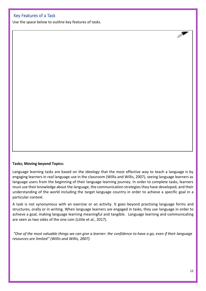### <span id="page-11-0"></span>Key Features of a Task

Use the space below to outline key features of tasks.

#### **Tasks; Moving beyond Topics:**

Language learning tasks are based on the ideology that the most effective way to teach a language is by engaging learners in real language use in the classroom (Willis and Willis, 2007), seeing language learners as language users from the beginning of their language learning journey. In order to complete tasks, learners must use their knowledge about the language, the communication strategies they have developed, and their understanding of the world including the target language country in order to achieve a specific goal in a particular context.

A task is not synonymous with an exercise or an activity. It goes beyond practising language forms and structures, orally or in writing. When language learners are engaged in tasks, they use language in order to achieve a goal, making language learning meaningful and tangible. Language learning and communicating are seen as two sides of the one coin (Little et al., 2017).

*"One of the most valuable things we can give a learner: the confidence to have a go, even if their language resources are limited" (Willis and Willis, 2007).*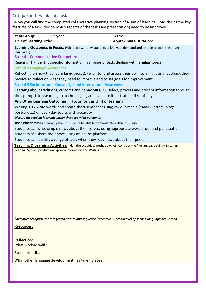### <span id="page-12-0"></span>Critique and Tweak This Task

Below you will find the completed collaborative planning section of a unit of learning. Considering the key features of a task, decide which aspects of the task (see presentation) need to be improved.

| $2nd$ year<br><b>Year Group:</b>                                                            | Term: 1                                                                                                            |
|---------------------------------------------------------------------------------------------|--------------------------------------------------------------------------------------------------------------------|
| <b>Unit of Learning Title:</b>                                                              | <b>Approximate Duration:</b>                                                                                       |
|                                                                                             | Learning Outcomes in Focus: (What do I want my students to know, understand and be able to do in the target        |
| language?)                                                                                  |                                                                                                                    |
| <b>Strand 1 Communicative Competence</b>                                                    |                                                                                                                    |
|                                                                                             | Reading; 1.7 identify specific information in a range of texts dealing with familiar topics                        |
| <b>Strand 2 Language Awareness</b>                                                          |                                                                                                                    |
|                                                                                             | Reflecting on how they learn languages; 2.7 monitor and assess their own learning, using feedback they             |
|                                                                                             | receive to reflect on what they need to improve and to set goals for improvement                                   |
| <b>Strand 3 Socio-cultural Knowledge and Intercultural Awareness</b>                        |                                                                                                                    |
|                                                                                             | Learning about traditions, customs and behaviours; 3.6 select, process and present information through             |
|                                                                                             | the appropriate use of digital technologies, and evaluate it for truth and reliability                             |
| Any Other Learning Outcomes in Focus for this Unit of Learning                              |                                                                                                                    |
|                                                                                             | Writing 1.17 write words and create short sentences using various media (emails, letters, blogs,                   |
| postcards) on everyday topics with accuracy                                                 |                                                                                                                    |
| Discuss the student learning within these learning outcomes                                 |                                                                                                                    |
| <b>Assessment:</b> (What learning should students be able to demonstrate within this unit?) |                                                                                                                    |
|                                                                                             | Students can write simple news about themselves, using appropriate word order and punctuation.                     |
| Students can share their news using an online platform.                                     |                                                                                                                    |
| Students can identify a range of facts when they read news about their peers.               |                                                                                                                    |
| Reading, Spoken production, Spoken interaction and Writing)                                 | Teaching & Learning Activities: (Plan the activities/methodologies. Consider the five language skills - Listening, |
|                                                                                             |                                                                                                                    |
|                                                                                             |                                                                                                                    |
|                                                                                             |                                                                                                                    |
|                                                                                             |                                                                                                                    |
|                                                                                             |                                                                                                                    |
|                                                                                             |                                                                                                                    |
|                                                                                             |                                                                                                                    |
|                                                                                             |                                                                                                                    |

*\*Activities recognise the integrated nature and sequence (receptive → productive) of second language acquisition*

**Resources:**

**Reflection:** What worked well?

Even better if…

What other language development has taken place?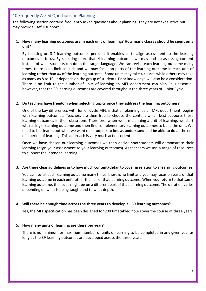### <span id="page-13-0"></span>10 Frequently Asked Questions on Planning

The following section contains frequently asked questions about planning. They are not exhaustive but may provide useful support.

### 1. **How many learning outcomes are in each unit of learning? How many classes should be spent on a unit?**

By focusing on 3-4 learning outcomes per unit it enables us to align assessment to the learning outcomes in focus. By selecting more than 4 learning outcomes we may end up assessing content instead of what students can **do** in the target language. We can revisit each learning outcome many times, there is no limit as such and we may focus on parts of the learning outcome in each unit of learning rather than *all* of the learning outcome. Some units may take 4 classes while others may take as many as 8 to 10. It depends on the group of students. Prior knowledge will also be a consideration. There is no limit to the number of units of learning an MFL department can plan. It is essential, however, that the 39 learning outcomes are covered throughout the three years of Junior Cycle.

#### 2. **Do teachers have freedom when selecting topics once they address the learning outcomes?**

One of the key differences with Junior Cycle MFL is that all planning, as an MFL department, begins with learning outcomes. Teachers are then free to choose the content which best supports those learning outcomes in their classroom. Therefore, when we are planning a unit of learning, we start with a single learning outcome and then find complementary learning outcomes to build the unit. We need to be clear about what we want our students to **know, understand** and **be able to do** at the end of a period of learning. This approach is very much action-oriented.

Once we have chosen our learning outcomes we then decide **how** students will demonstrate their learning (align your assessment to your learning outcomes). As teachers we use a range of resources to support the intended learning.

#### 3. **Are there clear guidelines as to how much content/detail to cover in relation to a learning outcome?**

You can revisit each learning outcome many times, there is no limit and you may focus on parts of that learning outcome in each unit rather than all of that learning outcome. When you return to that same learning outcome, the focus might be on a different part of that learning outcome. The duration varies depending on what is being taught and to what depth.

#### 4. **Will there be enough time across the three years to develop all 39 learning outcomes?**

Yes, the MFL specification has been designed for 200 timetabled hours over the course of three years.

#### 5. **How many units of learning are there per year?**

There is no minimum or maximum number of units of learning to be completed in any given year as long as the 39 learning outcomes are developed across the three years.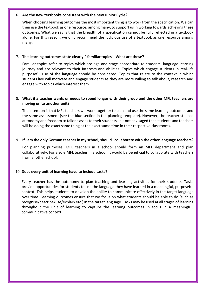#### 6. **Are the new textbooks consistent with the new Junior Cycle?**

When choosing learning outcomes the most important thing is to work from the specification. We can then use the textbook as one resource, among many, to support us in working towards achieving these outcomes. What we say is that the breadth of a specification cannot be fully reflected in a textbook alone. For this reason, we only recommend the judicious use of a textbook as one resource among many.

#### 7. **The learning outcomes state clearly " familiar topics". What are these?**

Familiar topics refer to topics which are age and stage appropriate to students' language learning journey and are relevant to their interests and abilities. Topics which engage students in real-life purposeful use of the language should be considered. Topics that relate to the context in which students live will motivate and engage students as they are more willing to talk about, research and engage with topics which interest them.

### 8. **What if a teacher wants or needs to spend longer with their group and the other MFL teachers are moving on to another unit?**

The intention is that MFL teachers will work together to plan and use the same learning outcomes and the same assessment (see the blue section in the planning template). However, the teacher still has autonomy and freedom to tailor classes to their students. It is not envisaged that students and teachers will be doing the exact same thing at the exact same time in their respective classrooms.

#### 9. **If I am the only German teacher in my school, should I collaborate with the other language teachers?**

For planning purposes, MFL teachers in a school should form an MFL department and plan collaboratively. For a sole MFL teacher in a school, it would be beneficial to collaborate with teachers from another school.

#### 10. **Does every unit of learning have to include tasks?**

Every teacher has the autonomy to plan teaching and learning activities for their students. Tasks provide opportunities for students to use the language they have learned in a meaningful, purposeful context. This helps students to develop the ability to communicate effectively in the target language over time. Learning outcomes ensure that we focus on what students should be able to do (such as recognise/describe/use/explain etc.) in the target language. Tasks may be used at all stages of learning throughout the unit of learning to capture the learning outcomes in focus in a meaningful, communicative context.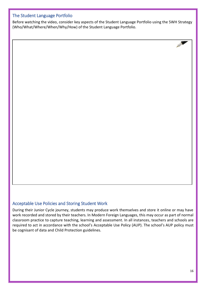### <span id="page-15-0"></span>The Student Language Portfolio

Before watching the video, consider key aspects of the Student Language Portfolio using the 5WH Strategy (Who/What/Where/When/Why/How) of the Student Language Portfolio.

### <span id="page-15-1"></span>Acceptable Use Policies and Storing Student Work

During their Junior Cycle journey, students may produce work themselves and store it online or may have work recorded and stored by their teachers. In Modern Foreign Languages, this may occur as part of normal classroom practice to capture teaching, learning and assessment. In all instances, teachers and schools are required to act in accordance with the school's Acceptable Use Policy (AUP). The school's AUP policy must be cognisant of data and Child Protection guidelines.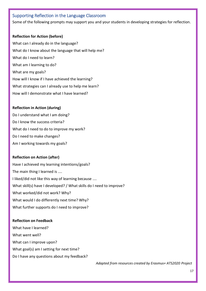### <span id="page-16-0"></span>Supporting Reflection in the Language Classroom

Some of the following prompts may support you and your students in developing strategies for reflection.

#### **Reflection for Action (before)**

What can I already do in the language? What do I know about the language that will help me? What do I need to learn? What am I learning to do? What are my goals? How will I know if I have achieved the learning? What strategies can I already use to help me learn? How will I demonstrate what I have learned?

#### **Reflection in Action (during)**

Do I understand what I am doing? Do I know the success criteria? What do I need to do to improve my work? Do I need to make changes? Am I working towards my goals?

#### **Reflection on Action (after)**

Have I achieved my learning intentions/goals? The main thing I learned is .... I liked/did not like this way of learning because .... What skill(s) have I developed? / What skills do I need to improve? What worked/did not work? Why? What would I do differently next time? Why? What further supports do I need to improve?

#### **Reflection on Feedback**

What have I learned? What went well? What can I improve upon? What goal(s) am I setting for next time? Do I have any questions about my feedback?

 *Adapted from resources created by Erasmus+ ATS2020 Project*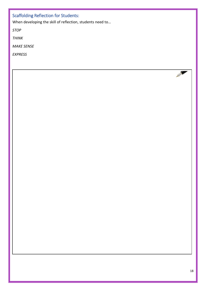## <span id="page-17-0"></span>Scaffolding Reflection for Students:

When developing the skill of reflection, students need to…

*STOP*

*THINK*

*MAKE SENSE*

*EXPRESS*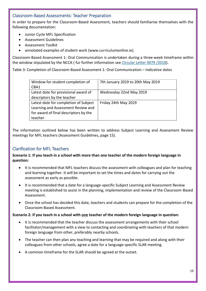### <span id="page-18-0"></span>Classroom-Based Assessments: Teacher Preparation

In order to prepare for the Classroom-Based Assessment, teachers should familiarise themselves with the following documentation:

- Junior Cycle MFL Specification
- Assessment Guidelines
- Assessment Toolkit
- annotated examples of student work (www.curriculumonline.ie).

Classroom-Based Assessment 1: Oral Communication is undertaken during a three-week timeframe within the window stipulated by the NCCA ( fur further information see [Circular Letter 0079 /2018\)](https://www.education.ie/en/Circulars-and-Forms/Active-Circulars/cl0079_2018.pdf).

Table 3: Completion of Classroom-Based Assessment 1: Oral Communication – indicative dates

| Window for student completion of<br>CBA1 | 7th January 2019 to 20th May 2019 |
|------------------------------------------|-----------------------------------|
| Latest date for provisional award of     | Wednesday 22nd May 2019           |
| descriptors by the teacher               |                                   |
| Latest date for completion of Subject    | Friday 24th May 2019              |
| Learning and Assessment Review and       |                                   |
| for award of final descriptors by the    |                                   |
| teacher                                  |                                   |

The information outlined below has been written to address Subject Learning and Assessment Review meetings for MFL teachers (Assessment Guidelines, page 15).

### <span id="page-18-1"></span>Clarification for MFL Teachers

**Scenario 1: If you teach in a school with more than one teacher of the modern foreign language in question:**

- It is recommended that MFL teachers discuss the assessment with colleagues and plan for teaching and learning together. It will be important to set the times and dates for carrying out the assessment as early as possible.
- It is recommended that a date for a language-specific Subject Learning and Assessment Review meeting is established to assist in the planning, implementation and review of the Classroom-Based Assessment.
- Once the school has decided this date, teachers and students can prepare for the completion of the Classroom-Based Assessment.

#### **Scenario 2: If you teach in a school with one teacher of the modern foreign language in question:**

- It is recommended that the teacher discuss the assessment arrangements with their school facilitator/management with a view to contacting and coordinating with teachers of that modern foreign language from other, preferably nearby schools.
- The teacher can then plan any teaching and learning that may be required and along with their colleagues from other schools, agree a date for a language-specific SLAR meeting.
- A common timeframe for the SLAR should be agreed at the outset.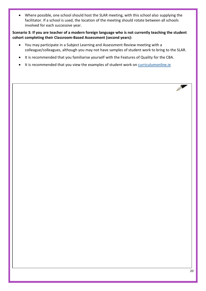• Where possible, one school should host the SLAR meeting, with this school also supplying the facilitator. If a school is used, the location of the meeting should rotate between all schools involved for each successive year.

### **Scenario 3: If you are teacher of a modern foreign language who is not currently teaching the student cohort completing their Classroom-Based Assessment (second years):**

- You may participate in a Subject Learning and Assessment Review meeting with a colleague/colleagues, although you may not have samples of student work to bring to the SLAR.
- It is recommended that you familiarise yourself with the Features of Quality for the CBA.
- It is recommended that you view the examples of student work on curriculumonline.ie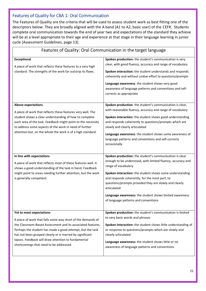### <span id="page-20-0"></span>Features of Quality for CBA 1: Oral Communication

 $\overline{1}$ 

The Features of Quality are the criteria that will be used to assess student work as best fitting one of the descriptors below. They are broadly aligned with the A band (A1 to A2, basic user) of the CEFR. Students complete oral communication towards the end of year two and expectations of the standard they achieve will be at a level appropriate to their age and experience at that stage in their language learning in junior cycle (Assessment Guidelines, page 13).

| reatures or Quality. Oral Communication in the target language                                                                                                                                                                                                                                                                                                                    |                                                                                                                                                                                                                                                                                                                                                                                                                                         |  |  |  |
|-----------------------------------------------------------------------------------------------------------------------------------------------------------------------------------------------------------------------------------------------------------------------------------------------------------------------------------------------------------------------------------|-----------------------------------------------------------------------------------------------------------------------------------------------------------------------------------------------------------------------------------------------------------------------------------------------------------------------------------------------------------------------------------------------------------------------------------------|--|--|--|
| <b>Exceptional</b><br>A piece of work that reflects these features to a very high<br>standard. The strengths of the work far outstrip its flaws.                                                                                                                                                                                                                                  | Spoken production: the student's communication is very<br>clear, with good fluency, accuracy and range of vocabulary<br>Spoken interaction: the student understands and responds<br>coherently and without undue effort to questions/prompts<br>Language awareness: the student shows very good<br>awareness of language patterns and conventions and self-<br>corrects as appropriate                                                  |  |  |  |
| <b>Above expectations</b><br>A piece of work that reflects these features very well. The<br>student shows a clear understanding of how to complete<br>each area of the task. Feedback might point to the necessity<br>to address some aspects of the work in need of further<br>attention but, on the whole the work is of a high standard.                                       | Spoken production: the student's communication is clear,<br>with reasonable fluency, accuracy and range of vocabulary<br>Spoken interaction: the student shows good understanding<br>and responds coherently to questions/prompts which are<br>slowly and clearly articulated<br>Language awareness: the student shows some awareness of<br>language patterns and conventions and self-corrects<br>occasionally                         |  |  |  |
| In line with expectations<br>A piece of work that reflects most of these features well. It<br>shows a good understanding of the task in hand. Feedback<br>might point to areas needing further attention, but the work<br>is generally competent.                                                                                                                                 | Spoken production: the student's communication is clear<br>enough to be understood, with limited fluency, accuracy and<br>range of vocabulary<br>Spoken interaction: the student shows some understanding<br>and responds coherently, for the most part, to<br>questions/prompts provided they are slowly and clearly<br>articulated<br>Language awareness: the student shows limited awareness<br>of language patterns and conventions |  |  |  |
| Yet to meet expectations<br>A piece of work that falls some way short of the demands of<br>the Classroom-Based Assessment and its associated features.<br>Perhaps the student has made a good attempt, but the task<br>has not been grasped clearly or is marred by significant<br>lapses. Feedback will draw attention to fundamental<br>shortcomings that need to be addressed. | Spoken production: the student's communication is limited<br>to very basic words and phrases<br>Spoken interaction: the student shows little understanding of<br>or response to questions/prompts which are slowly and<br>clearly articulated<br>Language awareness: the student shows little or no<br>awareness of language patterns and conventions                                                                                   |  |  |  |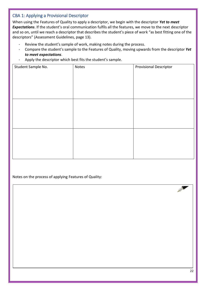### <span id="page-21-0"></span>CBA 1: Applying a Provisional Descriptor

When using the Features of Quality to apply a descriptor, we begin with the descriptor *Yet to meet Expectations*. If the student's oral communication fulfils all the features, we move to the next descriptor and so on, until we reach a descriptor that describes the student's piece of work "as best fitting one of the descriptors" (Assessment Guidelines, page 13).

- Review the student's sample of work, making notes during the process.
- Compare the student's sample to the Features of Quality, moving upwards from the descriptor *Yet to meet expectations*.
- Apply the descriptor which best fits the student's sample.

| Notes | <b>Provisional Descriptor</b> |
|-------|-------------------------------|
|       |                               |
|       |                               |
|       |                               |
|       |                               |
|       |                               |
|       |                               |
|       |                               |
|       |                               |
|       |                               |
|       |                               |

Notes on the process of applying Features of Quality: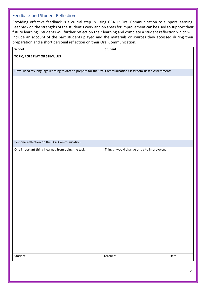### <span id="page-22-0"></span>Feedback and Student Reflection

Providing effective feedback is a crucial step in using CBA 1: Oral Communication to support learning. Feedback on the strengths of the student's work and on areas for improvement can be used to support their future learning. Students will further reflect on their learning and complete a student reflection which will include an account of the part students played and the materials or sources they accessed during their preparation and a short personal reflection on their Oral Communication.

| School:                                                                                                   | Student:                                    |       |
|-----------------------------------------------------------------------------------------------------------|---------------------------------------------|-------|
| TOPIC, ROLE PLAY OR STIMULUS                                                                              |                                             |       |
|                                                                                                           |                                             |       |
| How I used my language learning to date to prepare for the Oral Communication Classroom-Based Assessment: |                                             |       |
|                                                                                                           |                                             |       |
|                                                                                                           |                                             |       |
|                                                                                                           |                                             |       |
|                                                                                                           |                                             |       |
|                                                                                                           |                                             |       |
|                                                                                                           |                                             |       |
|                                                                                                           |                                             |       |
|                                                                                                           |                                             |       |
|                                                                                                           |                                             |       |
| Personal reflection on the Oral Communication                                                             |                                             |       |
| One important thing I learned from doing the task:                                                        | Things I would change or try to improve on: |       |
|                                                                                                           |                                             |       |
|                                                                                                           |                                             |       |
|                                                                                                           |                                             |       |
|                                                                                                           |                                             |       |
|                                                                                                           |                                             |       |
|                                                                                                           |                                             |       |
|                                                                                                           |                                             |       |
|                                                                                                           |                                             |       |
|                                                                                                           |                                             |       |
|                                                                                                           |                                             |       |
|                                                                                                           |                                             |       |
|                                                                                                           |                                             |       |
|                                                                                                           |                                             |       |
|                                                                                                           |                                             |       |
| Student                                                                                                   | Teacher:                                    | Date: |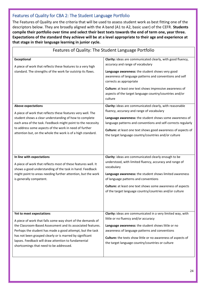### <span id="page-23-0"></span>Features of Quality for CBA 2: The Student Language Portfolio

The Features of Quality are the criteria that will be used to assess student work as best fitting one of the descriptors below. They are broadly aligned with the A band (A1 to A2, basic user) of the CEFR. **Students compile their portfolio over time and select their best texts towards the end of term one, year three. Expectations of the standard they achieve will be at a level appropriate to their age and experience at that stage in their language learning in junior cycle.**

| Features of Quality: The Student Language Portfolio                                                                                                                                                                                                                                                                                                                               |                                                                                                                                                                                                                                                                                                                                                                            |  |  |
|-----------------------------------------------------------------------------------------------------------------------------------------------------------------------------------------------------------------------------------------------------------------------------------------------------------------------------------------------------------------------------------|----------------------------------------------------------------------------------------------------------------------------------------------------------------------------------------------------------------------------------------------------------------------------------------------------------------------------------------------------------------------------|--|--|
| <b>Exceptional</b><br>A piece of work that reflects these features to a very high<br>standard. The strengths of the work far outstrip its flaws.                                                                                                                                                                                                                                  | Clarity: ideas are communicated clearly, with good fluency,<br>accuracy and range of vocabulary<br>Language awareness: the student shows very good<br>awareness of language patterns and conventions and self<br>corrects as appropriate<br>Culture: at least one text shows impressive awareness of<br>aspects of the target language country/countries and/or<br>culture |  |  |
| <b>Above expectations</b><br>A piece of work that reflects these features very well. The<br>student shows a clear understanding of how to complete<br>each area of the task. Feedback might point to the necessity<br>to address some aspects of the work in need of further<br>attention but, on the whole the work is of a high standard.                                       | Clarity: ideas are communicated clearly, with reasonable<br>fluency, accuracy and range of vocabulary<br>Language awareness: the student shows some awareness of<br>language patterns and conventions and self-corrects regularly<br>Culture: at least one text shows good awareness of aspects of<br>the target language country/countries and/or culture                 |  |  |
| In line with expectations<br>A piece of work that reflects most of these features well. It<br>shows a good understanding of the task in hand. Feedback<br>might point to areas needing further attention, but the work<br>is generally competent.                                                                                                                                 | Clarity: ideas are communicated clearly enough to be<br>understood, with limited fluency, accuracy and range of<br>vocabulary<br>Language awareness: the student shows limited awareness<br>of language patterns and conventions<br>Culture: at least one text shows some awareness of aspects<br>of the target language country/countries and/or culture                  |  |  |
| Yet to meet expectations<br>A piece of work that falls some way short of the demands of<br>the Classroom-Based Assessment and its associated features.<br>Perhaps the student has made a good attempt, but the task<br>has not been grasped clearly or is marred by significant<br>lapses. Feedback will draw attention to fundamental<br>shortcomings that need to be addressed. | Clarity: ideas are communicated in a very limited way, with<br>little or no fluency and/or accuracy<br>Language awareness: the student shows little or no<br>awareness of language patterns and conventions<br>Culture: the texts show little or no awareness of aspects of<br>the target language country/countries or culture                                            |  |  |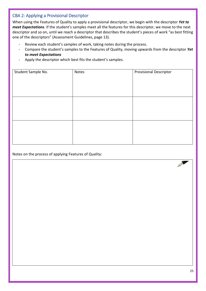### <span id="page-24-0"></span>CBA 2: Applying a Provisional Descriptor

When using the Features of Quality to apply a provisional descriptor, we begin with the descriptor *Yet to meet Expectations*. If the student's samples meet all the features for this descriptor, we move to the next descriptor and so on, until we reach a descriptor that describes the student's pieces of work "as best fitting one of the descriptors" (Assessment Guidelines, page 13).

- Review each student's samples of work, taking notes during the process.
- Compare the student's samples to the Features of Quality, moving upwards from the descriptor *Yet to meet Expectations*
- Apply the descriptor which best fits the student's samples.

| Student Sample No. | Notes | <b>Provisional Descriptor</b> |
|--------------------|-------|-------------------------------|
|                    |       |                               |
|                    |       |                               |
|                    |       |                               |
|                    |       |                               |
|                    |       |                               |
|                    |       |                               |
|                    |       |                               |
|                    |       |                               |
|                    |       |                               |
|                    |       |                               |

Notes on the process of applying Features of Quality: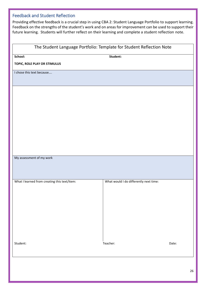### <span id="page-25-0"></span>Feedback and Student Reflection

Providing effective feedback is a crucial step in using CBA 2: Student Language Portfolio to support learning. Feedback on the strengths of the student's work and on areas for improvement can be used to support their future learning. Students will further reflect on their learning and complete a student reflection note.

### The Student Language Portfolio: Template for Student Reflection Note

**School: Student:**

**TOPIC, ROLE PLAY OR STIMULUS**

I chose this text because….

My assessment of my work

| What I learned from creating this text/item: | What would I do differently next time: |       |
|----------------------------------------------|----------------------------------------|-------|
|                                              |                                        |       |
|                                              |                                        |       |
|                                              |                                        |       |
|                                              |                                        |       |
|                                              |                                        |       |
|                                              |                                        |       |
|                                              |                                        |       |
|                                              |                                        |       |
|                                              |                                        |       |
|                                              |                                        |       |
|                                              |                                        |       |
|                                              |                                        |       |
|                                              |                                        |       |
|                                              |                                        |       |
|                                              |                                        |       |
|                                              |                                        |       |
|                                              |                                        |       |
|                                              |                                        |       |
|                                              |                                        |       |
|                                              |                                        |       |
|                                              |                                        |       |
|                                              |                                        |       |
|                                              |                                        |       |
| Student:                                     | Teacher:                               | Date: |
|                                              |                                        |       |
|                                              |                                        |       |
|                                              |                                        |       |
|                                              |                                        |       |
|                                              |                                        |       |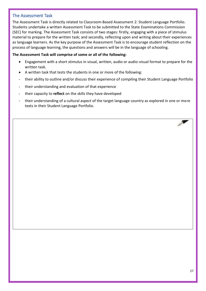### <span id="page-26-0"></span>The Assessment Task

The Assessment Task is directly related to Classroom-Based Assessment 2: Student Language Portfolio. Students undertake a written Assessment Task to be submitted to the State Examinations Commission (SEC) for marking. The Assessment Task consists of two stages: firstly, engaging with a piece of stimulus material to prepare for the written task; and secondly, reflecting upon and writing about their experiences as language learners. As the key purpose of the Assessment Task is to encourage student reflection on the process of language learning, the questions and answers will be in the language of schooling.

### **The Assessment Task will comprise of some or all of the following:**

- Engagement with a short stimulus in visual, written, audio or audio-visual format to prepare for the written task.
- A written task that tests the students in one or more of the following:
- their ability to outline and/or discuss their experience of compiling their Student Language Portfolio
- their understanding and evaluation of that experience
- their capacity to **reflect** on the skills they have developed
- their understanding of a cultural aspect of the target language country as explored in one or more texts in their Student Language Portfolio.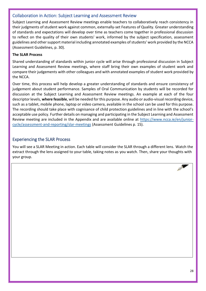### <span id="page-27-0"></span>Collaboration in Action: Subject Learning and Assessment Review

Subject Learning and Assessment Review meetings enable teachers to collaboratively reach consistency in their judgments of student work against common, externally-set Features of Quality. Greater understanding of standards and expectations will develop over time as teachers come together in professional discussion to reflect on the quality of their own students' work, informed by the subject specification, assessment guidelines and other support material including annotated examples of students' work provided by the NCCA (Assessment Guidelines, p. 30).

### **The SLAR Process**

Shared understanding of standards within junior cycle will arise through professional discussion in Subject Learning and Assessment Review meetings, where staff bring their own examples of student work and compare their judgements with other colleagues and with annotated examples of student work provided by the NCCA.

Over time, this process will help develop a greater understanding of standards and ensure consistency of judgement about student performance. Samples of Oral Communication by students will be recorded for discussion at the Subject Learning and Assessment Review meetings. An example at each of the four descriptor levels, **where feasible**, will be needed for this purpose. Any audio or audio-visual recording device, such as a tablet, mobile phone, laptop or video camera, available in the school can be used for this purpose. The recording should take place with cognisance of child protection guidelines and in line with the school's acceptable use policy. Further details on managing and participating in the Subject Learning and Assessment Review meeting are included in the Appendix and are available online at [https://www.ncca.ie/en/junior](https://www.ncca.ie/en/junior-cycle/assessment-and-reporting/slar-meetings)[cycle/assessment-and-reporting/slar-meetings](https://www.ncca.ie/en/junior-cycle/assessment-and-reporting/slar-meetings) (Assessment Guidelines p. 15).

### <span id="page-27-1"></span>Experiencing the SLAR Process

You will see a SLAR Meeting in action. Each table will consider the SLAR through a different lens. Watch the extract through the lens assigned to your table, taking notes as you watch. Then, share your thoughts with your group.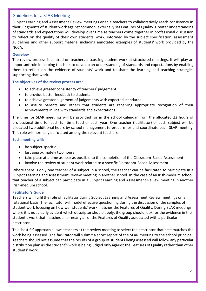### <span id="page-28-0"></span>Guidelines for a SLAR Meeting

Subject Learning and Assessment Review meetings enable teachers to collaboratively reach consistency in their judgments of student work against common, externally set Features of Quality. Greater understanding of standards and expectations will develop over time as teachers come together in professional discussion to reflect on the quality of their own students' work, informed by the subject specification, assessment guidelines and other support material including annotated examples of students' work provided by the NCCA.

### **Overview**

The review process is centred on teachers discussing student work at structured meetings. It will play an important role in helping teachers to develop an understanding of standards and expectations by enabling them to reflect on the evidence of students' work and to share the learning and teaching strategies supporting that work.

**The objectives of the review process are:** 

- to achieve greater consistency of teachers' judgement
- to provide better feedback to students
- to achieve greater alignment of judgements with expected standards
- to assure parents and others that students are receiving appropriate recognition of their achievements in line with standards and expectations.

The time for SLAR meetings will be provided for in the school calendar from the allocated 22 hours of professional time for each full-time teacher each year. One teacher (facilitator) of each subject will be allocated two additional hours by school management to prepare for and coordinate each SLAR meeting. This role will normally be rotated among the relevant teachers.

#### **Each meeting will:**

- be subject-specific
- last approximately two hours
- take place at a time as near as possible to the completion of the Classroom-Based Assessment
- involve the review of student work related to a specific Classroom-Based Assessment.

Where there is only one teacher of a subject in a school, the teacher can be facilitated to participate in a Subject Learning and Assessment Review meeting in another school. In the case of an Irish-medium school, that teacher of a subject can participate in a Subject Learning and Assessment Review meeting in another Irish-medium school.

### **Facilitator's Guide**

Teachers will fulfil the role of facilitator during Subject Learning and Assessment Review meetings on a rotational basis. The facilitator will model effective questioning during the discussion of the samples of student work focusing on how well students' work matches the Features of Quality. During SLAR meetings, where it is not clearly evident which descriptor should apply, the group should look for the evidence in the student's work that matches all or nearly all of the Features of Quality associated with a particular descriptor.

This 'best fit' approach allows teachers at the review meeting to select the descriptor that best matches the work being assessed. The facilitator will submit a short report of the SLAR meeting to the school principal. Teachers should not assume that the results of a group of students being assessed will follow any particular distribution plan as the student's work is being judged only against the Features of Quality rather than other students' work.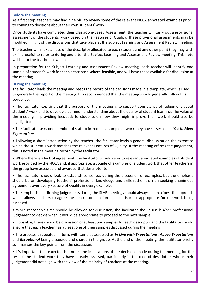#### **Before the meeting**

As a first step, teachers may find it helpful to review some of the relevant NCCA annotated examples prior to coming to decisions about their own students' work.

Once students have completed their Classroom-Based Assessment, the teacher will carry out a provisional assessment of the students' work based on the Features of Quality. These provisional assessments may be modified in light of the discussions that take place at the Subject Learning and Assessment Review meeting.

The teacher will make a note of the descriptor allocated to each student and any other point they may wish or find useful to refer to during and after the Subject Learning and Assessment Review meeting. This note will be for the teacher's own use.

In preparation for the Subject Learning and Assessment Review meeting, each teacher will identify one sample of student's work for each descriptor, **where feasible**, and will have these available for discussion at the meeting.

### **During the meeting**

The facilitator leads the meeting and keeps the record of the decisions made in a template, which is used to generate the report of the meeting. It is recommended that the meeting should generally follow this sequence:

• The facilitator explains that the purpose of the meeting is to support consistency of judgement about students' work and to develop a common understanding about the quality of student learning. The value of the meeting in providing feedback to students on how they might improve their work should also be highlighted.

• The facilitator asks one member of staff to introduce a sample of work they have assessed as *Yet to Meet Expectations*.

• Following a short introduction by the teacher, the facilitator leads a general discussion on the extent to which the student's work matches the relevant Features of Quality. If the meeting affirms the judgement, this is noted in the meeting record by the facilitator.

• Where there is a lack of agreement, the facilitator should refer to relevant annotated examples of student work provided by the NCCA and, if appropriate, a couple of examples of student work that other teachers in the group have assessed and awarded that descriptor to.

• The facilitator should look to establish consensus during the discussion of examples, but the emphasis should be on developing teachers' professional knowledge and skills rather than on seeking unanimous agreement over every Feature of Quality in every example.

• The emphasis in affirming judgements during the SLAR meetings should always be on a 'best fit' approach which allows teachers to agree the descriptor that 'on-balance' is most appropriate for the work being assessed.

• While reasonable time should be allowed for discussion, the facilitator should use his/her professional judgement to decide when it would be appropriate to proceed to the next sample.

• If possible, there should be discussion of at least two samples for each descriptor and the facilitator should ensure that each teacher has at least one of their samples discussed during the meeting.

• The process is repeated, in turn, with samples assessed as *In Line with Expectations*, *Above Expectations* and *Exceptional* being discussed and shared in the group. At the end of the meeting, the facilitator briefly summarises the key points from the discussion.

• It's important that each teacher notes the implications of the decisions made during the meeting for the rest of the student work they have already assessed, particularly in the case of descriptors where their judgement did not align with the view of the majority of teachers at the meeting.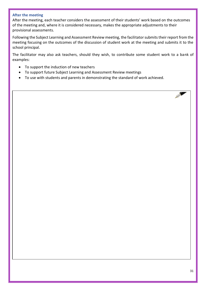### **After the meeting**

After the meeting, each teacher considers the assessment of their students' work based on the outcomes of the meeting and, where it is considered necessary, makes the appropriate adjustments to their provisional assessments.

Following the Subject Learning and Assessment Review meeting, the facilitator submits their report from the meeting focusing on the outcomes of the discussion of student work at the meeting and submits it to the school principal.

The facilitator may also ask teachers, should they wish, to contribute some student work to a bank of examples:

- To support the induction of new teachers
- To support future Subject Learning and Assessment Review meetings
- To use with students and parents in demonstrating the standard of work achieved.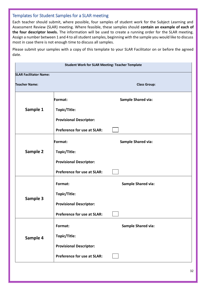### <span id="page-31-0"></span>Templates for Student Samples for a SLAR meeting

Each teacher should submit, where possible, four samples of student work for the Subject Learning and Assessment Review (SLAR) meeting. Where feasible, these samples should **contain an example of each of the four descriptor levels.** The information will be used to create a running order for the SLAR meeting. Assign a number between 1 and 4 to all student samples, beginning with the sample you would like to discuss most in case there is not enough time to discuss all samples.

Please submit your samples with a copy of this template to your SLAR Facilitator on or before the agreed date.

| <b>Student Work for SLAR Meeting: Teacher Template</b> |                                    |                           |  |  |  |  |  |
|--------------------------------------------------------|------------------------------------|---------------------------|--|--|--|--|--|
| <b>SLAR Facilitator Name:</b>                          |                                    |                           |  |  |  |  |  |
| <b>Teacher Name:</b>                                   |                                    | <b>Class Group:</b>       |  |  |  |  |  |
|                                                        | Format:                            | <b>Sample Shared via:</b> |  |  |  |  |  |
| Sample 1                                               | Topic/Title:                       |                           |  |  |  |  |  |
|                                                        | <b>Provisional Descriptor:</b>     |                           |  |  |  |  |  |
|                                                        | <b>Preference for use at SLAR:</b> |                           |  |  |  |  |  |
| Sample 2                                               | Format:                            | <b>Sample Shared via:</b> |  |  |  |  |  |
|                                                        | Topic/Title:                       |                           |  |  |  |  |  |
|                                                        | <b>Provisional Descriptor:</b>     |                           |  |  |  |  |  |
|                                                        | <b>Preference for use at SLAR:</b> |                           |  |  |  |  |  |
|                                                        | Format:                            | <b>Sample Shared via:</b> |  |  |  |  |  |
| Sample 3                                               | Topic/Title:                       |                           |  |  |  |  |  |
|                                                        | <b>Provisional Descriptor:</b>     |                           |  |  |  |  |  |
|                                                        | Preference for use at SLAR:        |                           |  |  |  |  |  |
| Sample 4                                               | Format:                            | <b>Sample Shared via:</b> |  |  |  |  |  |
|                                                        | Topic/Title:                       |                           |  |  |  |  |  |
|                                                        | <b>Provisional Descriptor:</b>     |                           |  |  |  |  |  |
|                                                        | Preference for use at SLAR:        |                           |  |  |  |  |  |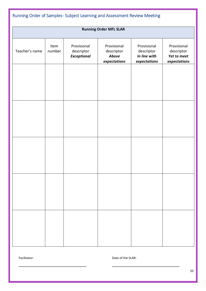<span id="page-32-0"></span>

| Running Order of Samples-Subject Learning and Assessment Review Meeting |                |                                                 |                                                    |                                                           |                                                          |  |  |  |
|-------------------------------------------------------------------------|----------------|-------------------------------------------------|----------------------------------------------------|-----------------------------------------------------------|----------------------------------------------------------|--|--|--|
| <b>Running Order MFL SLAR</b>                                           |                |                                                 |                                                    |                                                           |                                                          |  |  |  |
| Teacher's name                                                          | Item<br>number | Provisional<br>descriptor<br><b>Exceptional</b> | Provisional<br>descriptor<br>Above<br>expectations | Provisional<br>descriptor<br>In line with<br>expectations | Provisional<br>descriptor<br>Yet to meet<br>expectations |  |  |  |
|                                                                         |                |                                                 |                                                    |                                                           |                                                          |  |  |  |
|                                                                         |                |                                                 |                                                    |                                                           |                                                          |  |  |  |
|                                                                         |                |                                                 |                                                    |                                                           |                                                          |  |  |  |
|                                                                         |                |                                                 |                                                    |                                                           |                                                          |  |  |  |
|                                                                         |                |                                                 |                                                    |                                                           |                                                          |  |  |  |
|                                                                         |                |                                                 |                                                    |                                                           |                                                          |  |  |  |
|                                                                         |                |                                                 |                                                    |                                                           |                                                          |  |  |  |
|                                                                         |                |                                                 |                                                    |                                                           |                                                          |  |  |  |
|                                                                         |                |                                                 |                                                    |                                                           |                                                          |  |  |  |
|                                                                         |                |                                                 |                                                    |                                                           |                                                          |  |  |  |
|                                                                         |                |                                                 |                                                    |                                                           |                                                          |  |  |  |

Facilitator: Date of the SLAR:

**\_\_\_\_\_\_\_\_\_\_\_\_\_\_\_\_\_\_\_\_\_\_\_\_\_\_\_\_\_\_\_\_\_\_\_\_\_\_\_ \_\_\_\_\_\_\_\_\_\_\_\_\_\_\_\_\_\_\_\_\_\_\_\_\_\_\_\_\_\_\_\_\_\_\_\_\_\_\_**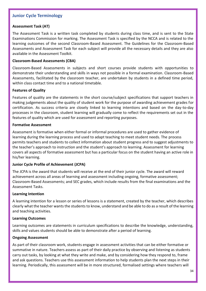### <span id="page-33-0"></span>**Junior Cycle Terminology**

#### **Assessment Task (AT)**

The Assessment Task is a written task completed by students during class time, and is sent to the State Examinations Commission for marking. The Assessment Task is specified by the NCCA and is related to the learning outcomes of the second Classroom-Based Assessment. The Guidelines for the Classroom-Based Assessments and Assessment Task for each subject will provide all the necessary details and they are also available in the Assessment Toolkit.

#### **Classroom-Based Assessments (CBA)**

Classroom-Based Assessments in subjects and short courses provide students with opportunities to demonstrate their understanding and skills in ways not possible in a formal examination. Classroom-Based Assessments, facilitated by the classroom teacher, are undertaken by students in a defined time period, within class contact time and to a national timetable.

#### **Features of Quality**

Features of quality are the statements in the short course/subject specifications that support teachers in making judgements about the quality of student work for the purpose of awarding achievement grades for certification. As success criteria are closely linked to learning intentions and based on the day-to-day processes in the classroom, student learning will gradually come to reflect the requirements set out in the features of quality which are used for assessment and reporting purposes.

#### **Formative Assessment**

Assessment is formative when either formal or informal procedures are used to gather evidence of learning during the learning process and used to adapt teaching to meet student needs. The process permits teachers and students to collect information about student progress and to suggest adjustments to the teacher's approach to instruction and the student's approach to learning. Assessment for learning covers all aspects of formative assessment but has a particular focus on the student having an active role in his/her learning.

#### **Junior Cycle Profile of Achievement (JCPA)**

The JCPA is the award that students will receive at the end of their junior cycle. The award will reward achievement across all areas of learning and assessment including ongoing, formative assessment; Classroom-Based Assessments; and SEC grades, which include results from the final examinations and the Assessment Tasks.

#### **Learning Intention**

A learning intention for a lesson or series of lessons is a statement, created by the teacher, which describes clearly what the teacher wants the students to know, understand and be able to do as a result of the learning and teaching activities.

#### **Learning Outcomes**

Learning outcomes are statements in curriculum specifications to describe the knowledge, understanding, skills and values students should be able to demonstrate after a period of learning.

#### **Ongoing Assessment**

As part of their classroom work, students engage in assessment activities that can be either formative or summative in nature. Teachers assess as part of their daily practice by observing and listening as students carry out tasks, by looking at what they write and make, and by considering how they respond to, frame and ask questions. Teachers use this assessment information to help students plan the next steps in their learning. Periodically, this assessment will be in more structured, formalised settings where teachers will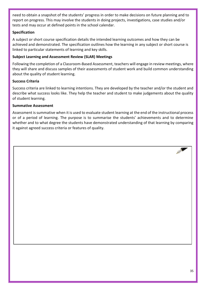need to obtain a snapshot of the students' progress in order to make decisions on future planning and to report on progress. This may involve the students in doing projects, investigations, case studies and/or tests and may occur at defined points in the school calendar.

### **Specification**

A subject or short course specification details the intended learning outcomes and how they can be achieved and demonstrated. The specification outlines how the learning in any subject or short course is linked to particular statements of learning and key skills.

### **Subject Learning and Assessment Review (SLAR) Meetings**

Following the completion of a Classroom-Based Assessment, teachers will engage in review meetings, where they will share and discuss samples of their assessments of student work and build common understanding about the quality of student learning.

### **Success Criteria**

Success criteria are linked to learning intentions. They are developed by the teacher and/or the student and describe what success looks like. They help the teacher and student to make judgements about the quality of student learning.

### **Summative Assessment**

Assessment is summative when it is used to evaluate student learning at the end of the instructional process or of a period of learning. The purpose is to summarise the students' achievements and to determine whether and to what degree the students have demonstrated understanding of that learning by comparing it against agreed success criteria or features of quality.